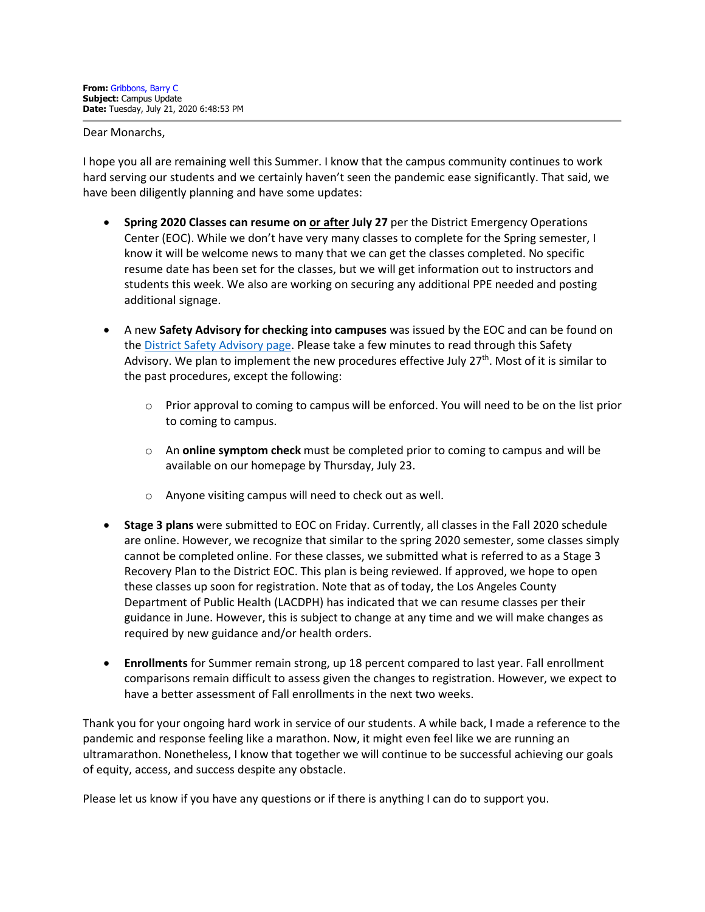Dear Monarchs,

I hope you all are remaining well this Summer. I know that the campus community continues to work hard serving our students and we certainly haven't seen the pandemic ease significantly. That said, we have been diligently planning and have some updates:

- **Spring 2020 Classes can resume on or after July 27** per the District Emergency Operations Center (EOC). While we don't have very many classes to complete for the Spring semester, I know it will be welcome news to many that we can get the classes completed. No specific resume date has been set for the classes, but we will get information out to instructors and students this week. We also are working on securing any additional PPE needed and posting additional signage.
- A new **Safety Advisory for checking into campuses** was issued by the EOC and can be found on the [District Safety Advisory page.](http://laccd.edu/About/News/Pages/Safety-Advisories.aspx) Please take a few minutes to read through this Safety Advisory. We plan to implement the new procedures effective July  $27<sup>th</sup>$ . Most of it is similar to the past procedures, except the following:
	- o Prior approval to coming to campus will be enforced. You will need to be on the list prior to coming to campus.
	- o An **online symptom check** must be completed prior to coming to campus and will be available on our homepage by Thursday, July 23.
	- o Anyone visiting campus will need to check out as well.
- **Stage 3 plans** were submitted to EOC on Friday. Currently, all classes in the Fall 2020 schedule are online. However, we recognize that similar to the spring 2020 semester, some classes simply cannot be completed online. For these classes, we submitted what is referred to as a Stage 3 Recovery Plan to the District EOC. This plan is being reviewed. If approved, we hope to open these classes up soon for registration. Note that as of today, the Los Angeles County Department of Public Health (LACDPH) has indicated that we can resume classes per their guidance in June. However, this is subject to change at any time and we will make changes as required by new guidance and/or health orders.
- **Enrollments** for Summer remain strong, up 18 percent compared to last year. Fall enrollment comparisons remain difficult to assess given the changes to registration. However, we expect to have a better assessment of Fall enrollments in the next two weeks.

Thank you for your ongoing hard work in service of our students. A while back, I made a reference to the pandemic and response feeling like a marathon. Now, it might even feel like we are running an ultramarathon. Nonetheless, I know that together we will continue to be successful achieving our goals of equity, access, and success despite any obstacle.

Please let us know if you have any questions or if there is anything I can do to support you.